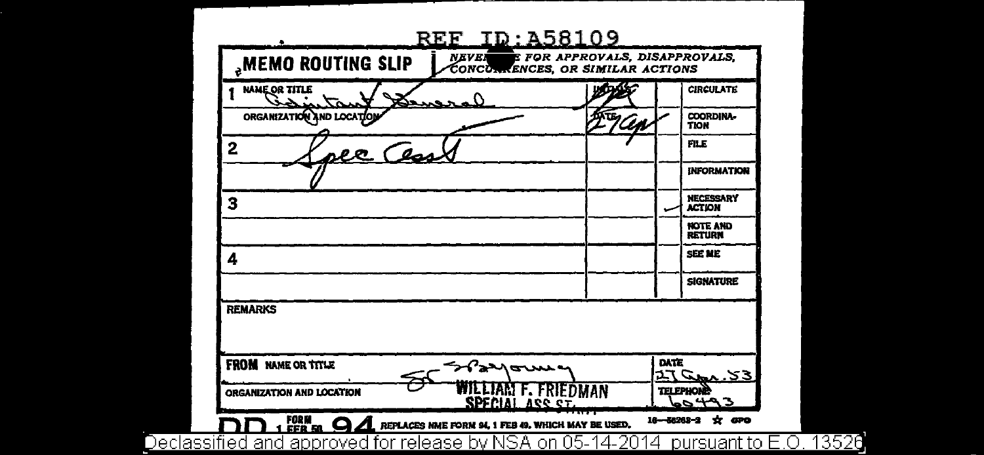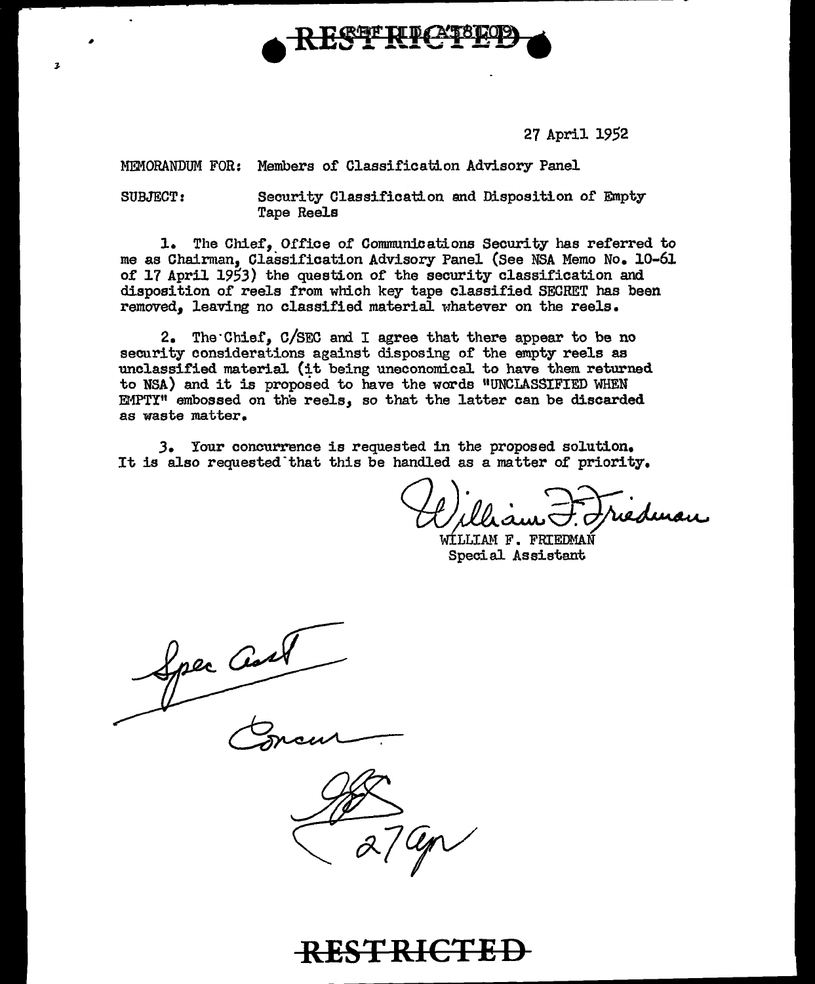

27 April 1952

MEMORANDUM FOR: Members of Classification Advisory Panel

SUBJECT: Security Olassificatton end Disposition of Empty Tape Reels

1. The Chief, Office of Communications Security has referred to me as Chairman, Classification Advisory Panel (See NSA Memo No. l0-61 of 17 April 1953) the question of the security classification and disposition of reels from which key tape classified SECRET has been removed, leaving no classified material whatever on the reels.

2. The·Chief, C/SEC and I agree that there appear to be no security considerations against disposing of the empty reels as unclassified material (it being uneconomical to have them returned to NSA) and it is proposed to have the words "UNCLASSIFIED WHEN EMPTY" embossed on the reels, so that the latter can be discarded as waste matter.

*3.* Your concurrence is requested in the proposed solution. It is also requested "that this be handled as a matter of priority.

William F. Friedman

Special Assistant

Spec Cast

**d** 

2



**RESTRICTED**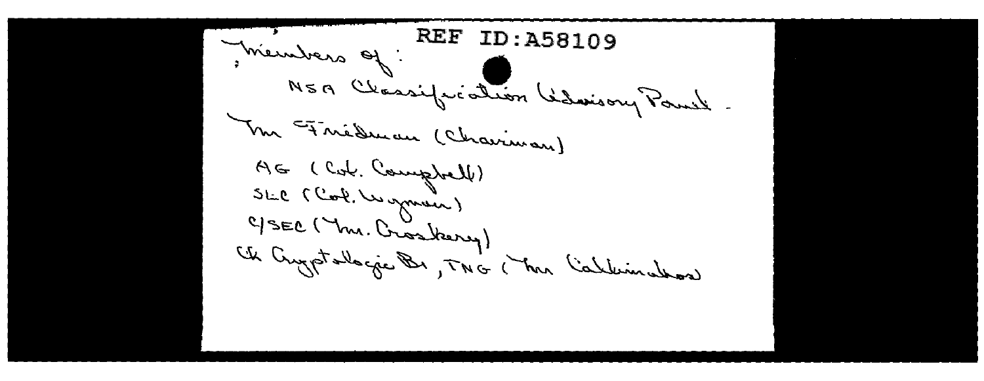**REF ID: A58109** Members of NSA Classification Glassony Paul M FineDucan (Chairman) AG (Col. Comptell) SLC (Cook, Wymen) C/SEC ( mr. Crosberry) Ch Cryptalogie Br, TNG (The Calleminathor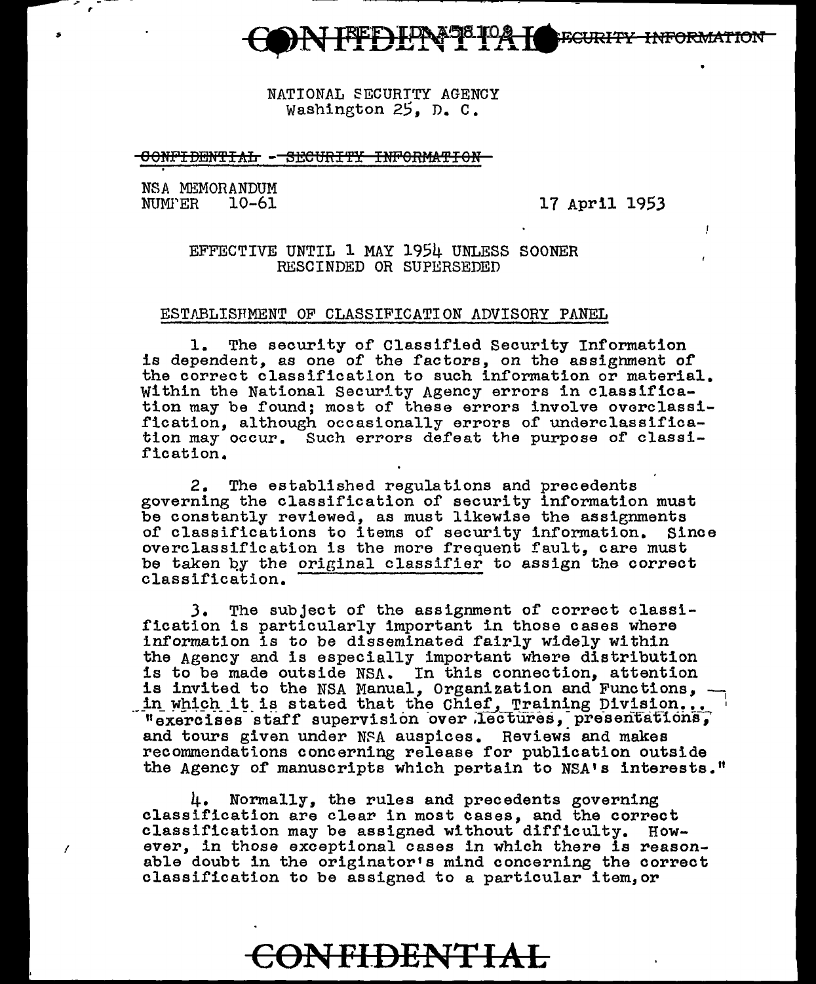

NATIONAL SECURITY AGENCY Washington 25, D. C.

#### OONFIDENTIAL: --SECURITY INFORMATION

NSA MEMORANDUM<br>NUMPER 10-61

,.

17 April 1953

 $\mathbf{I}$ 

# EFFECTIVE UNTIL 1 MAY 1954 UNLESS SOONER RESCINDED OR SUPERSEDED

## ESTABLISHMENT OF CLASSIFICATION ADVISORY PANEL

1. The security of Classified Security Information is dependent, as one of the factors, on the assighment of the correct classificatlon to such information or material. Within the National Security Agency errors in classification may be found; most of these errors involve overclassification, although occasionally errors of underclassification may occur. Such errors defeat the purpose of classification.

2. The established regulations and precedents governing the classification of security information must be constantly reviewed, as must likewise the assignments of classifications to items of security information. Since of classifications to items of security information. overclassification is the more frequent fault, care must be taken by the original classifier to assign the correct classification.

J. The subject of the assignment of correct classification is particularly important in those cases where information is to be disseminated fairly widely within the Agency and is especially important where distribution is to be made outside NSA. In this connection, attention is invited to the NSA Manual, Organization and Functions, -<br>in which it is stated that the Chief, Training Division... " exercises staff supervision over lectures, presentations, and tours given under NSA auspices. Reviews and makes recommendations concerning release for publication outside the Agency of manuscripts which pertain to NSA's interests."

4. Normally, the rules and precedents governing classification are clear in most cases, and the correct classification may be assigned without difficulty. However, in those exceptional cases in which there is reasonable doubt in the originator's mind concerning the correct classification to be assigned to a particular item,or

**CON FI.DENT I AL**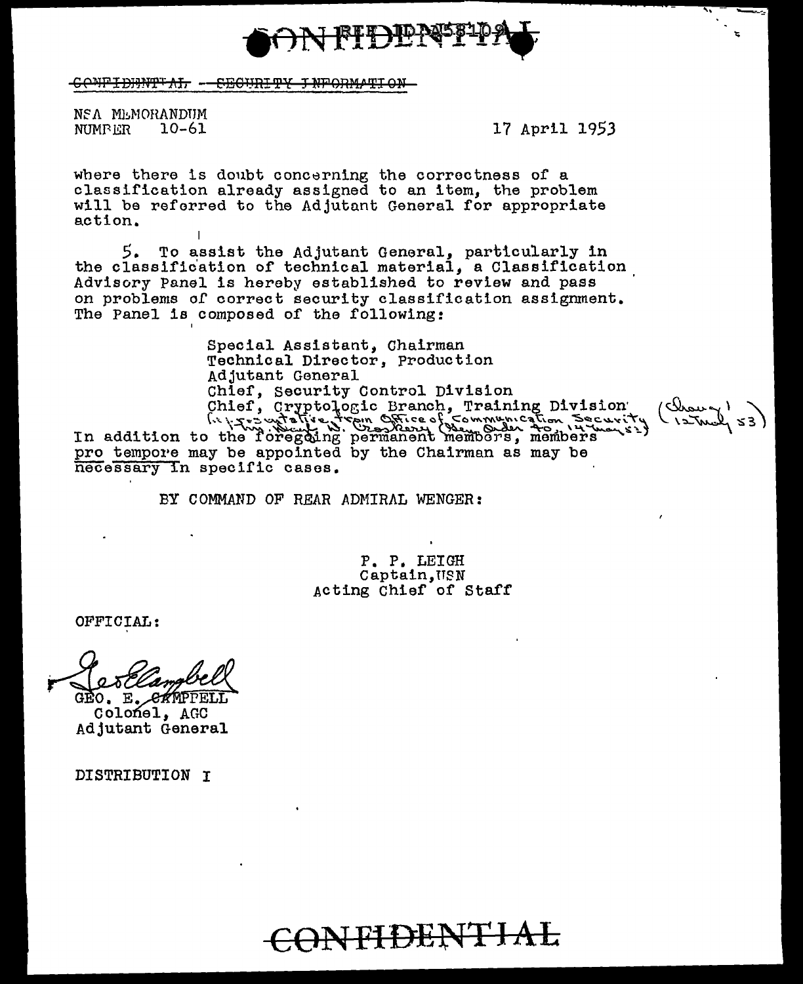

CONFIDENT AL - CEGURITY JNFORMATION

NSA MEMORANDUM  $10 - 61$ NUMB ER

17 April 1953

where there is doubt concerning the correctness of a classification already assigned to an item, the problem will be referred to the Adjutant General for appropriate action.

5. To assist the Adjutant General, particularly in the classification of technical material, a Classification Advisory Panel is hereby established to review and pass on problems of correct security classification assignment. The Panel is composed of the following:

Special Assistant, Chairman Technical Director, Production Adjutant General Chief, Security Control Division (Drown Chief, Cryptologic Branch, Training Division<br>(x) Training Division<br>(x) Training Division<br>(x) The ddition to the Toregoing permanent membors, members  $(52 \text{ m/s})$ pro tempore may be appointed by the Chairman as may be necessary in specific cases.

BY COMMAND OF REAR ADMIRAL WENGER:

P. P. LEIGH Captain, USN Acting Chief of Staff

OFFICIAL:

E. CAMPPELI

Colonel, AGC Adjutant General

DISTRIBUTION I

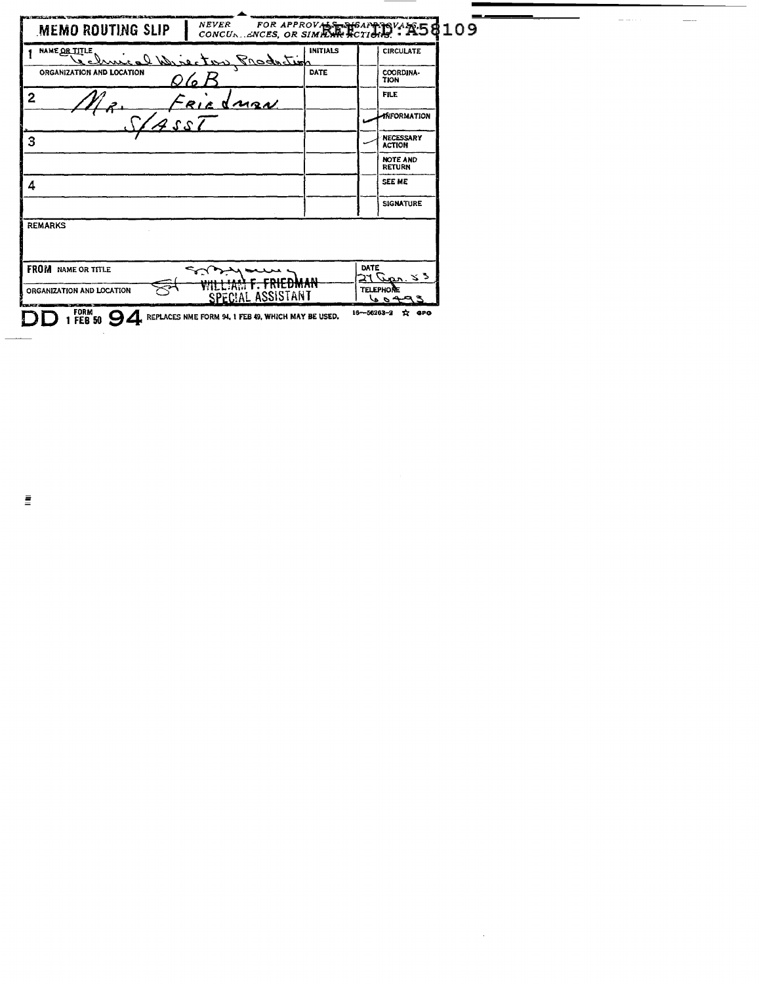| MEMO ROUTING SLIP         | NEVER FOR APPROVAS PRESENTING VALIS \$109          |                 |                  |                                   |
|---------------------------|----------------------------------------------------|-----------------|------------------|-----------------------------------|
| NAME OR TITLE             | cal Wrecton Production                             | <b>INITIALS</b> |                  | <b>CIRCULATE</b>                  |
| ORGANIZATION AND LOCATION |                                                    | DATE            |                  | COORDINA-<br>TION                 |
| $\overline{2}$            | <u>dnaw</u><br>R1                                  |                 |                  | <b>FILE</b>                       |
|                           |                                                    |                 |                  | <b>ANFORMATION</b>                |
| 3                         |                                                    |                 |                  | <b>NECESSARY</b><br><b>ACTION</b> |
|                           |                                                    |                 |                  | NOTE AND<br><b>RETURN</b>         |
| 4                         |                                                    |                 |                  | <b>SEE ME</b>                     |
|                           |                                                    |                 |                  | <b>SIGNATURE</b>                  |
| <b>REMARKS</b>            |                                                    |                 |                  |                                   |
|                           |                                                    |                 |                  |                                   |
| <b>FROM</b> NAME OR TITLE |                                                    |                 | DATE             | $21$ an. $3.5$                    |
| ORGANIZATION AND LOCATION | <del>f. FriedMam</del><br><b>SPECIAL ASSISTANT</b> |                 |                  | TELEPHONE<br>o a                  |
| form<br><b>FEB 50</b>     | REPLACES NME FORM 94, 1 FEB 49, WHICH MAY BE USED. |                 | $16 - 56263 - 2$ | ☆ ero                             |

 $\sim$ 

 $\sim$ 

 $\overline{\phantom{a}}$ 

 $\frac{1}{2} \left( \frac{1}{2} \left( \frac{1}{2} \right) \right) \left( \frac{1}{2} \left( \frac{1}{2} \right) \right)$ 

 $\bar{\Xi}$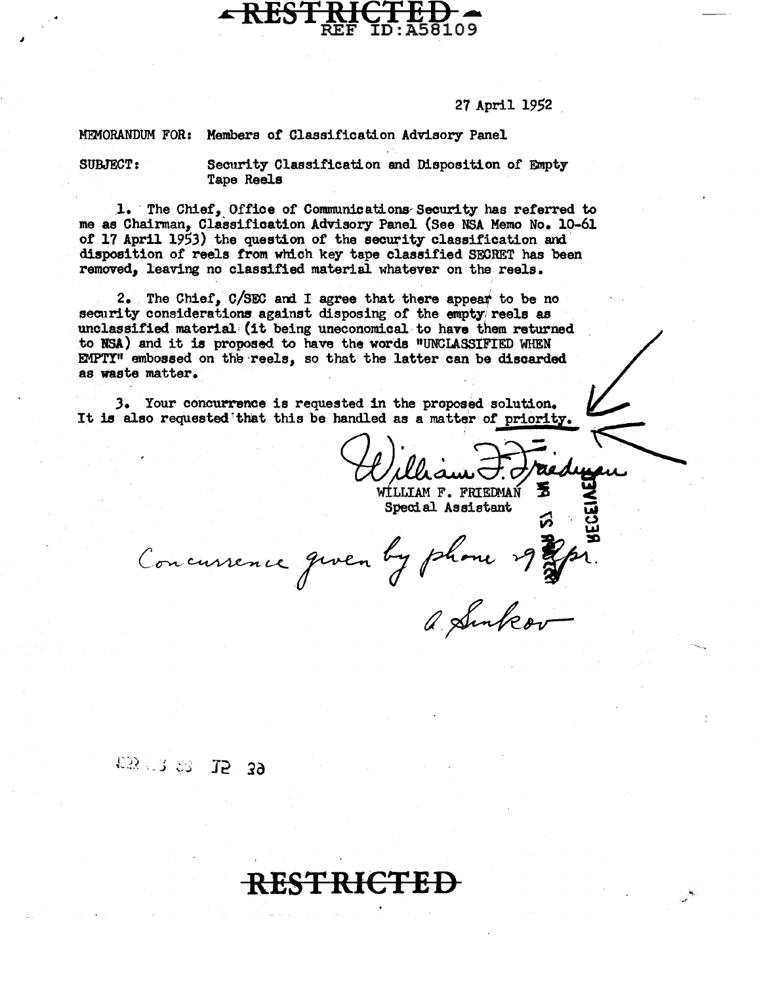## 27 April 1952

MEMORANDUM FOR: Members of Classification Advisory Panel

. **RESTRICTED** 

SUBJECT: Security Classification and Disposition of Empty Tape Reels

1. The Chief, Office of Communications Security has referred to me as Chairman, Classification Advisory Panel (See NSA Memo No. 10-61 of  $17$  April 1953) the question of the security classification and disposition of reels from whioh key tape classified SECRET has been removed, leaving no classified material whatever on the reels.

2. The Chief,  $C/SEC$  and I agree that there appear to be no security considerations against disposing of the empty reels as unclassified material (it being uneconomical-to have them returned to BSA) and it is proposed to have the words "UNCLASStFIED WHEN EMPTI" embossed on the reels, so that the latter can be discarded as waste matter.

*3.* Your concurrence is requested in the proposed solution. It is also requested that this be handled as a matter of priority.

*Chillian F. Friedry du Chillian F. Friedry du Special Assistant* 

Concursence quen by phone of the

**RESTRICTED** 

a Sunkov

# £53 7 23 15 39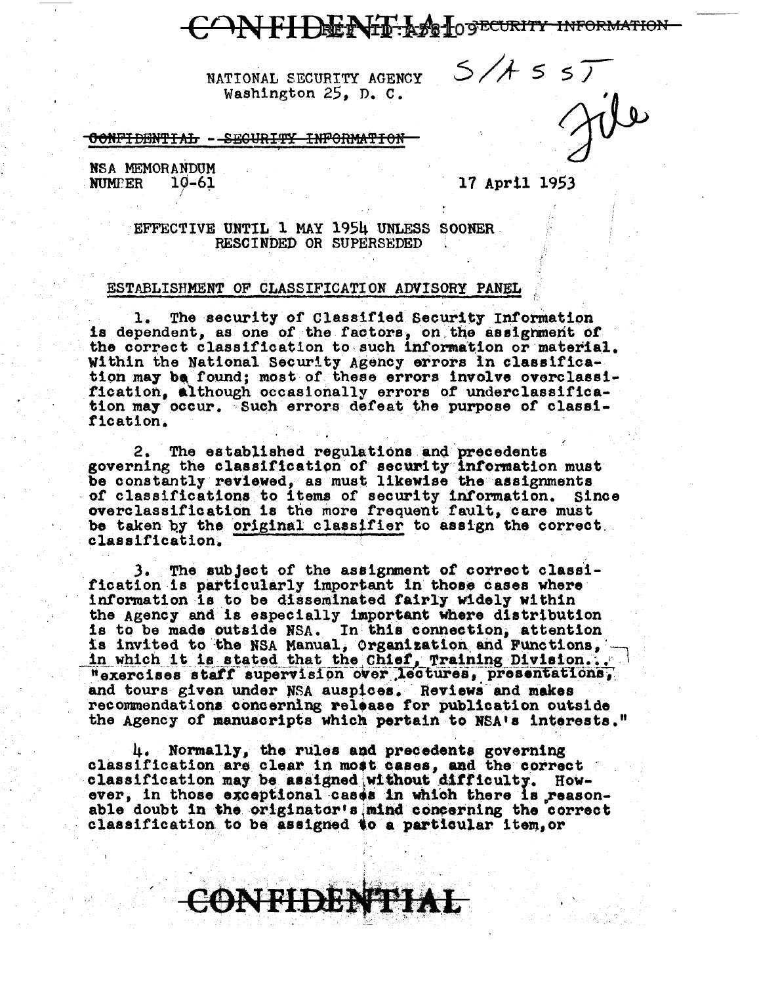# FI DENTE AFT LOGECURITY INFORMATION

NATIONAL SECURITY AGENCY Washington 25, D. C.

CONFIDENTIAL - SECURITY INFORMATION

NSA MEMORANDUM **NUMPER**  $10 - 61$ 

17 April 1953

 $5/7557$ 

EFFECTIVE UNTIL 1 MAY 1954 UNLESS SOONER. RESCINDED OR SUPERSEDED

### ESTABLISHMENT OF CLASSIFICATION ADVISORY PANEL

The security of Classified Security Information 1. is dependent, as one of the factors, on the assignment of the correct classification to such information or material. Within the National Security Agency errors in classification may be found; most of these errors involve overclassification. Although occasionally errors of underclassification may occur. Such errors defeat the purpose of classification.

2. The established regulations and precedents governing the classification of security information must be constantly reviewed, as must likewise the assignments of classifications to items of security information. Since overclassification is the more frequent fault, care must be taken by the original classifier to assign the correct classification.

3. The subject of the assignment of correct classification is particularly important in those cases where information is to be disseminated fairly widely within the Agency and is especially important where distribution is to be made outside NSA. In this connection, attention is invited to the NSA Manual, Organization and Functions, in which it is stated that the Chief, Training Division... "exercises staff supervision over lectures, presentations, and tours given under NSA auspices. Reviews and makes recommendations concerning release for publication outside the Agency of manuscripts which pertain to NSA's interests."

4. Normally, the rules and precedents governing classification are clear in most cases, and the correct classification may be assigned without difficulty. However, in those exceptional cases in which there is reasonable doubt in the originator's mind concerning the correct classification to be assigned to a particular item, or

ONTIDENTI